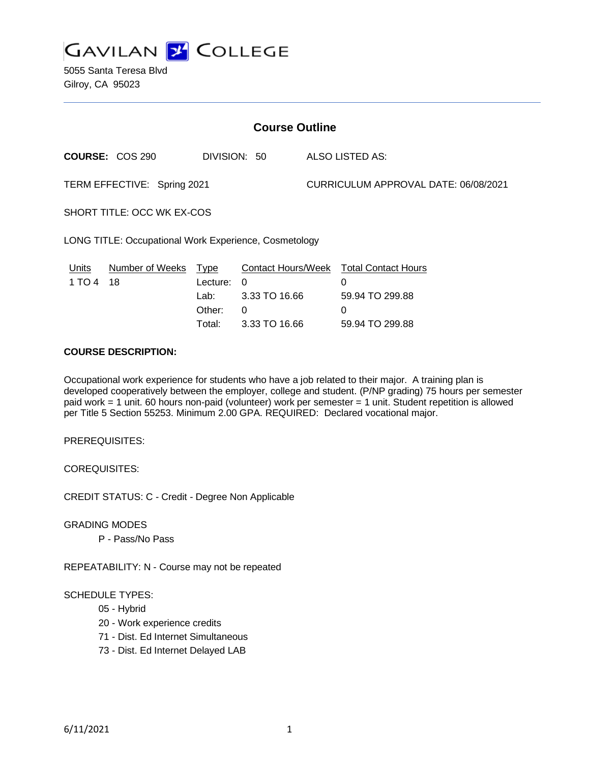

5055 Santa Teresa Blvd Gilroy, CA 95023

| <b>Course Outline</b>                                 |                        |                                                     |                                                                |                                      |                                                                            |
|-------------------------------------------------------|------------------------|-----------------------------------------------------|----------------------------------------------------------------|--------------------------------------|----------------------------------------------------------------------------|
|                                                       | <b>COURSE: COS 290</b> | DIVISION: 50                                        |                                                                | ALSO LISTED AS:                      |                                                                            |
| TERM EFFECTIVE: Spring 2021                           |                        |                                                     |                                                                | CURRICULUM APPROVAL DATE: 06/08/2021 |                                                                            |
| SHORT TITLE: OCC WK EX-COS                            |                        |                                                     |                                                                |                                      |                                                                            |
| LONG TITLE: Occupational Work Experience, Cosmetology |                        |                                                     |                                                                |                                      |                                                                            |
| <u>Units</u><br>1 TO 4                                | Number of Weeks<br>18  | <u>Type</u><br>Lecture:<br>Lab:<br>Other:<br>Total: | Contact Hours/Week<br>0<br>3.33 TO 16.66<br>0<br>3.33 TO 16.66 |                                      | <b>Total Contact Hours</b><br>0<br>59.94 TO 299.88<br>0<br>59.94 TO 299.88 |
|                                                       | -- -                   |                                                     |                                                                |                                      |                                                                            |

#### **COURSE DESCRIPTION:**

Occupational work experience for students who have a job related to their major. A training plan is developed cooperatively between the employer, college and student. (P/NP grading) 75 hours per semester paid work = 1 unit. 60 hours non-paid (volunteer) work per semester = 1 unit. Student repetition is allowed per Title 5 Section 55253. Minimum 2.00 GPA. REQUIRED: Declared vocational major.

PREREQUISITES:

COREQUISITES:

CREDIT STATUS: C - Credit - Degree Non Applicable

GRADING MODES

P - Pass/No Pass

REPEATABILITY: N - Course may not be repeated

# SCHEDULE TYPES:

- 05 Hybrid
- 20 Work experience credits
- 71 Dist. Ed Internet Simultaneous
- 73 Dist. Ed Internet Delayed LAB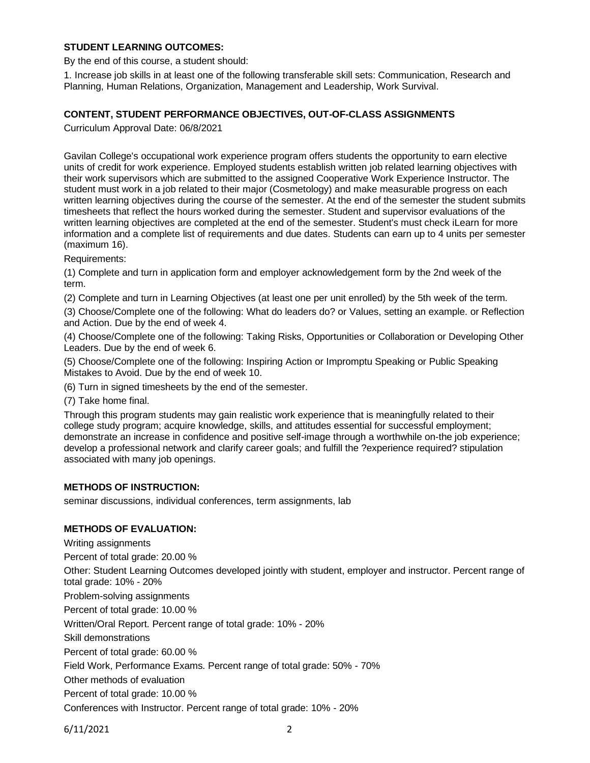# **STUDENT LEARNING OUTCOMES:**

By the end of this course, a student should:

1. Increase job skills in at least one of the following transferable skill sets: Communication, Research and Planning, Human Relations, Organization, Management and Leadership, Work Survival.

### **CONTENT, STUDENT PERFORMANCE OBJECTIVES, OUT-OF-CLASS ASSIGNMENTS**

Curriculum Approval Date: 06/8/2021

Gavilan College's occupational work experience program offers students the opportunity to earn elective units of credit for work experience. Employed students establish written job related learning objectives with their work supervisors which are submitted to the assigned Cooperative Work Experience Instructor. The student must work in a job related to their major (Cosmetology) and make measurable progress on each written learning objectives during the course of the semester. At the end of the semester the student submits timesheets that reflect the hours worked during the semester. Student and supervisor evaluations of the written learning objectives are completed at the end of the semester. Student's must check iLearn for more information and a complete list of requirements and due dates. Students can earn up to 4 units per semester (maximum 16).

Requirements:

(1) Complete and turn in application form and employer acknowledgement form by the 2nd week of the term.

(2) Complete and turn in Learning Objectives (at least one per unit enrolled) by the 5th week of the term.

(3) Choose/Complete one of the following: What do leaders do? or Values, setting an example. or Reflection and Action. Due by the end of week 4.

(4) Choose/Complete one of the following: Taking Risks, Opportunities or Collaboration or Developing Other Leaders. Due by the end of week 6.

(5) Choose/Complete one of the following: Inspiring Action or Impromptu Speaking or Public Speaking Mistakes to Avoid. Due by the end of week 10.

(6) Turn in signed timesheets by the end of the semester.

(7) Take home final.

Through this program students may gain realistic work experience that is meaningfully related to their college study program; acquire knowledge, skills, and attitudes essential for successful employment; demonstrate an increase in confidence and positive self-image through a worthwhile on-the job experience; develop a professional network and clarify career goals; and fulfill the ?experience required? stipulation associated with many job openings.

# **METHODS OF INSTRUCTION:**

seminar discussions, individual conferences, term assignments, lab

## **METHODS OF EVALUATION:**

Writing assignments Percent of total grade: 20.00 % Other: Student Learning Outcomes developed jointly with student, employer and instructor. Percent range of total grade: 10% - 20% Problem-solving assignments Percent of total grade: 10.00 % Written/Oral Report. Percent range of total grade: 10% - 20% Skill demonstrations Percent of total grade: 60.00 % Field Work, Performance Exams. Percent range of total grade: 50% - 70% Other methods of evaluation Percent of total grade: 10.00 % Conferences with Instructor. Percent range of total grade: 10% - 20%

6/11/2021 2